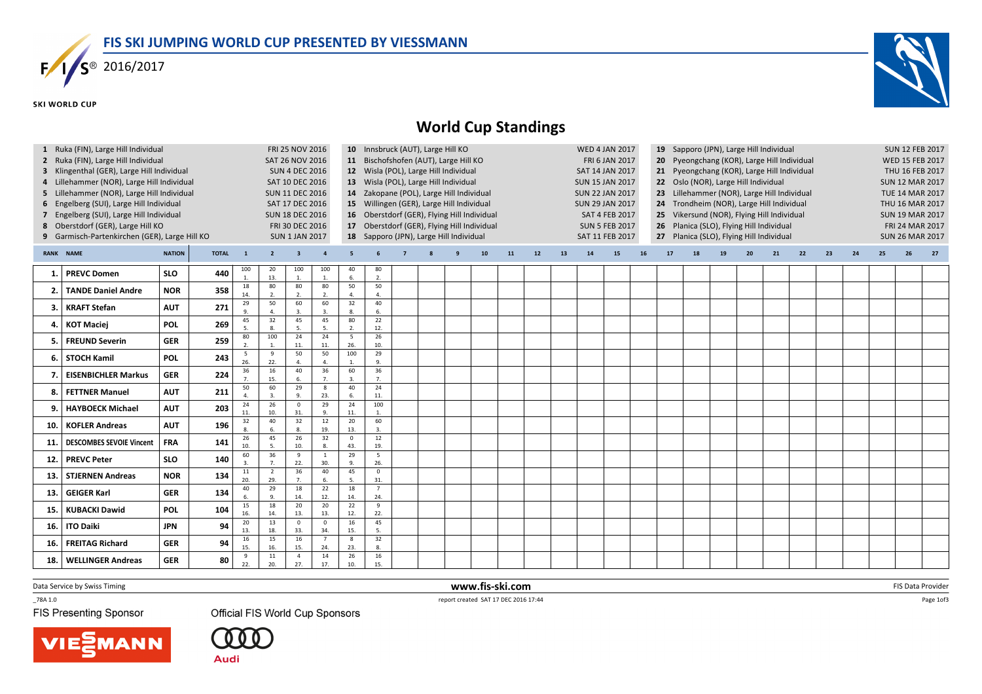

## **SKI WORLD CUP**



## World Cup Standings

| $\mathbf{1}$ | Ruka (FIN), Large Hill Individual<br>2 Ruka (FIN), Large Hill Individual<br>3 Klingenthal (GER), Large Hill Individual<br>4 Lillehammer (NOR), Large Hill Individual<br>5 Lillehammer (NOR), Large Hill Individual |                          | FRI 25 NOV 2016<br><b>SAT 26 NOV 2016</b><br><b>SUN 4 DEC 2016</b><br>SAT 10 DEC 2016                           |                            |                            | 10 Innsbruck (AUT), Large Hill KO<br><b>WED 4 JAN 2017</b><br>19 Sapporo (JPN), Large Hill Individual<br>11 Bischofshofen (AUT), Large Hill KO<br>FRI 6 JAN 2017<br>Pyeongchang (KOR), Large Hill Individual<br>20<br>12 Wisla (POL), Large Hill Individual<br>21 Pyeongchang (KOR), Large Hill Individual<br><b>SAT 14 JAN 2017</b><br>13 Wisla (POL), Large Hill Individual<br>22 Oslo (NOR), Large Hill Individual<br><b>SUN 15 JAN 2017</b><br>14 Zakopane (POL), Large Hill Individual<br><b>SUN 22 JAN 2017</b><br>Lillehammer (NOR), Large Hill Individual<br>23 |                                                                                                                                                                                                                                                                                                                                                                                                                                                                      |                        |                       |  |  |          |                 |            |    |    |    |    |    | <b>SUN 12 FEB 2017</b><br>WED 15 FEB 2017<br>THU 16 FEB 2017<br><b>SUN 12 MAR 2017</b><br><b>TUE 14 MAR 2017</b> |                                                                                        |    |    |    |    |    |    |    |    |    |
|--------------|--------------------------------------------------------------------------------------------------------------------------------------------------------------------------------------------------------------------|--------------------------|-----------------------------------------------------------------------------------------------------------------|----------------------------|----------------------------|-------------------------------------------------------------------------------------------------------------------------------------------------------------------------------------------------------------------------------------------------------------------------------------------------------------------------------------------------------------------------------------------------------------------------------------------------------------------------------------------------------------------------------------------------------------------------|----------------------------------------------------------------------------------------------------------------------------------------------------------------------------------------------------------------------------------------------------------------------------------------------------------------------------------------------------------------------------------------------------------------------------------------------------------------------|------------------------|-----------------------|--|--|----------|-----------------|------------|----|----|----|----|----|------------------------------------------------------------------------------------------------------------------|----------------------------------------------------------------------------------------|----|----|----|----|----|----|----|----|----|
|              | 6 Engelberg (SUI), Large Hill Individual<br>7 Engelberg (SUI), Large Hill Individual<br>8 Oberstdorf (GER), Large Hill KO<br>9 Garmisch-Partenkirchen (GER), Large Hill KO                                         |                          | <b>SUN 11 DEC 2016</b><br>SAT 17 DEC 2016<br><b>SUN 18 DEC 2016</b><br>FRI 30 DEC 2016<br><b>SUN 1 JAN 2017</b> |                            |                            |                                                                                                                                                                                                                                                                                                                                                                                                                                                                                                                                                                         | 15 Willingen (GER), Large Hill Individual<br><b>SUN 29 JAN 2017</b><br>24 Trondheim (NOR), Large Hill Individual<br>16 Oberstdorf (GER), Flying Hill Individual<br>25 Vikersund (NOR), Flying Hill Individual<br><b>SAT 4 FEB 2017</b><br>17 Oberstdorf (GER), Flying Hill Individual<br>26 Planica (SLO), Flying Hill Individual<br><b>SUN 5 FEB 2017</b><br>18 Sapporo (JPN), Large Hill Individual<br>SAT 11 FEB 2017<br>27 Planica (SLO), Flying Hill Individual |                        |                       |  |  |          |                 |            |    |    |    |    |    |                                                                                                                  | THU 16 MAR 2017<br><b>SUN 19 MAR 2017</b><br>FRI 24 MAR 2017<br><b>SUN 26 MAR 2017</b> |    |    |    |    |    |    |    |    |    |
|              | RANK NAME                                                                                                                                                                                                          | <b>NATION</b>            | <b>TOTAL</b>                                                                                                    | $\overline{\mathbf{1}}$    | $\overline{2}$             | $\overline{3}$                                                                                                                                                                                                                                                                                                                                                                                                                                                                                                                                                          |                                                                                                                                                                                                                                                                                                                                                                                                                                                                      | 5                      |                       |  |  | <b>q</b> | 10 <sub>1</sub> | ${\bf 11}$ | 12 | 13 | 14 | 15 | 16 | 17                                                                                                               | 18                                                                                     | 19 | 20 | 21 | 22 | 23 | 24 | 25 | 26 | 27 |
| 1            | <b>PREVC Domen</b>                                                                                                                                                                                                 | <b>SLO</b>               | 440                                                                                                             | 100<br>1.                  | 20<br>13.                  | 100<br>$\overline{1}$                                                                                                                                                                                                                                                                                                                                                                                                                                                                                                                                                   | 100                                                                                                                                                                                                                                                                                                                                                                                                                                                                  | 40<br>6.               | 80<br>2.              |  |  |          |                 |            |    |    |    |    |    |                                                                                                                  |                                                                                        |    |    |    |    |    |    |    |    |    |
|              | <b>TANDE Daniel Andre</b>                                                                                                                                                                                          | <b>NOR</b>               | 358                                                                                                             | 18<br>14.                  | 80<br>$\overline{2}$       | 80<br>$\overline{z}$<br>60                                                                                                                                                                                                                                                                                                                                                                                                                                                                                                                                              | 80<br>$\overline{2}$<br>60                                                                                                                                                                                                                                                                                                                                                                                                                                           | 50<br>4.<br>32         | 50<br>4.<br>40        |  |  |          |                 |            |    |    |    |    |    |                                                                                                                  |                                                                                        |    |    |    |    |    |    |    |    |    |
| 3.           | <b>KRAFT Stefan</b>                                                                                                                                                                                                | <b>AUT</b>               | 271                                                                                                             | 29<br>$\overline{9}$<br>45 | 50<br>$\overline{4}$<br>32 | $\overline{3}$<br>45                                                                                                                                                                                                                                                                                                                                                                                                                                                                                                                                                    | $\mathbf{B}$<br>45                                                                                                                                                                                                                                                                                                                                                                                                                                                   | 8.<br>80               | 6.<br>22              |  |  |          |                 |            |    |    |    |    |    |                                                                                                                  |                                                                                        |    |    |    |    |    |    |    |    |    |
|              | <b>KOT Maciej</b>                                                                                                                                                                                                  | <b>POL</b>               | 269                                                                                                             | - 5<br>80                  | $\mathbf{R}$<br>100        | 5<br>24                                                                                                                                                                                                                                                                                                                                                                                                                                                                                                                                                                 | $\overline{5}$<br>24                                                                                                                                                                                                                                                                                                                                                                                                                                                 | 2.<br>5                | 12.<br>26             |  |  |          |                 |            |    |    |    |    |    |                                                                                                                  |                                                                                        |    |    |    |    |    |    |    |    |    |
| 5.           | <b>FREUND Severin</b>                                                                                                                                                                                              | <b>GER</b>               | 259                                                                                                             | $\overline{z}$<br>5        | $\overline{9}$             | 11.<br>50                                                                                                                                                                                                                                                                                                                                                                                                                                                                                                                                                               | 11.<br>50                                                                                                                                                                                                                                                                                                                                                                                                                                                            | 26.<br>100             | 10.<br>29             |  |  |          |                 |            |    |    |    |    |    |                                                                                                                  |                                                                                        |    |    |    |    |    |    |    |    |    |
| 6.           | <b>STOCH Kamil</b>                                                                                                                                                                                                 | <b>POL</b>               | 243                                                                                                             | 26.<br>36                  | 22.<br>16                  | 40                                                                                                                                                                                                                                                                                                                                                                                                                                                                                                                                                                      | $\Delta$<br>36                                                                                                                                                                                                                                                                                                                                                                                                                                                       | 60                     | 9.<br>36              |  |  |          |                 |            |    |    |    |    |    |                                                                                                                  |                                                                                        |    |    |    |    |    |    |    |    |    |
|              | <b>EISENBICHLER Markus</b>                                                                                                                                                                                         | <b>GER</b>               | 224                                                                                                             | 50                         | 15.<br>60                  | 29                                                                                                                                                                                                                                                                                                                                                                                                                                                                                                                                                                      | $\overline{7}$<br>8                                                                                                                                                                                                                                                                                                                                                                                                                                                  | $\overline{3}$ .<br>40 | 7 <sub>1</sub><br>24  |  |  |          |                 |            |    |    |    |    |    |                                                                                                                  |                                                                                        |    |    |    |    |    |    |    |    |    |
| 8.<br>9.     | <b>FETTNER Manuel</b><br><b>HAYBOECK Michael</b>                                                                                                                                                                   | <b>AUT</b><br><b>AUT</b> | 211<br>203                                                                                                      | $24\,$                     | $\overline{3}$ .<br>26     | $\alpha$<br>$\overline{0}$                                                                                                                                                                                                                                                                                                                                                                                                                                                                                                                                              | 23.<br>29                                                                                                                                                                                                                                                                                                                                                                                                                                                            | 6.<br>24               | 11.<br>100            |  |  |          |                 |            |    |    |    |    |    |                                                                                                                  |                                                                                        |    |    |    |    |    |    |    |    |    |
| 10.          | <b>KOFLER Andreas</b>                                                                                                                                                                                              | <b>AUT</b>               | 196                                                                                                             | 11.<br>32                  | 10.<br>40                  | 31.<br>32                                                                                                                                                                                                                                                                                                                                                                                                                                                                                                                                                               | 9.<br>12                                                                                                                                                                                                                                                                                                                                                                                                                                                             | 11.<br>20              | $\overline{1}$<br>60  |  |  |          |                 |            |    |    |    |    |    |                                                                                                                  |                                                                                        |    |    |    |    |    |    |    |    |    |
| 11.          | <b>DESCOMBES SEVOIE Vincent</b>                                                                                                                                                                                    | <b>FRA</b>               | 141                                                                                                             | 26                         | 6.<br>45                   | $\mathbf{g}$<br>26                                                                                                                                                                                                                                                                                                                                                                                                                                                                                                                                                      | 19.<br>32                                                                                                                                                                                                                                                                                                                                                                                                                                                            | 13.<br>$\mathsf 0$     | 3.<br>12              |  |  |          |                 |            |    |    |    |    |    |                                                                                                                  |                                                                                        |    |    |    |    |    |    |    |    |    |
| 12.          | <b>PREVC Peter</b>                                                                                                                                                                                                 | <b>SLO</b>               | 140                                                                                                             | 10.<br>60                  | 36                         | 10.<br>9<br>22.                                                                                                                                                                                                                                                                                                                                                                                                                                                                                                                                                         | - 1<br>30.                                                                                                                                                                                                                                                                                                                                                                                                                                                           | 43.<br>29<br>9.        | 19.<br>5<br>26.       |  |  |          |                 |            |    |    |    |    |    |                                                                                                                  |                                                                                        |    |    |    |    |    |    |    |    |    |
| 13.          | <b>STJERNEN Andreas</b>                                                                                                                                                                                            | <b>NOR</b>               | 134                                                                                                             | 11<br>20.                  | $\overline{2}$<br>29.      | 36                                                                                                                                                                                                                                                                                                                                                                                                                                                                                                                                                                      | 40<br>6.                                                                                                                                                                                                                                                                                                                                                                                                                                                             | 45<br>5.               | $\mathbf 0$<br>31.    |  |  |          |                 |            |    |    |    |    |    |                                                                                                                  |                                                                                        |    |    |    |    |    |    |    |    |    |
| 13.          | <b>GEIGER Karl</b>                                                                                                                                                                                                 | <b>GER</b>               | 134                                                                                                             | 40<br>6                    | 29<br>$\mathbf{q}$         | 18<br>14.                                                                                                                                                                                                                                                                                                                                                                                                                                                                                                                                                               | 22<br>12.                                                                                                                                                                                                                                                                                                                                                                                                                                                            | 18<br>14.              | $\overline{7}$<br>24. |  |  |          |                 |            |    |    |    |    |    |                                                                                                                  |                                                                                        |    |    |    |    |    |    |    |    |    |
| 15.          | <b>KUBACKI Dawid</b>                                                                                                                                                                                               | <b>POL</b>               | 104                                                                                                             | 15<br>16.                  | 18<br>14.                  | 20<br>13.                                                                                                                                                                                                                                                                                                                                                                                                                                                                                                                                                               | 20<br>13.                                                                                                                                                                                                                                                                                                                                                                                                                                                            | 22<br>12.              | 9<br>22.              |  |  |          |                 |            |    |    |    |    |    |                                                                                                                  |                                                                                        |    |    |    |    |    |    |    |    |    |
| 16.          | <b>ITO Daiki</b>                                                                                                                                                                                                   | <b>JPN</b>               | 94                                                                                                              | 20<br>13.                  | 13<br>18.                  | $\mathbf 0$<br>33.                                                                                                                                                                                                                                                                                                                                                                                                                                                                                                                                                      | $\mathsf 0$<br>34.                                                                                                                                                                                                                                                                                                                                                                                                                                                   | 16<br>15.              | 45<br>5.              |  |  |          |                 |            |    |    |    |    |    |                                                                                                                  |                                                                                        |    |    |    |    |    |    |    |    |    |
| 16.          | <b>FREITAG Richard</b>                                                                                                                                                                                             | <b>GER</b>               | 94                                                                                                              | 16<br>15.                  | 15<br>16.                  | 16<br>15.                                                                                                                                                                                                                                                                                                                                                                                                                                                                                                                                                               | $\overline{7}$<br>24                                                                                                                                                                                                                                                                                                                                                                                                                                                 | 8<br>23.               | 32<br>8.              |  |  |          |                 |            |    |    |    |    |    |                                                                                                                  |                                                                                        |    |    |    |    |    |    |    |    |    |
| 18.          | <b>WELLINGER Andreas</b>                                                                                                                                                                                           | <b>GER</b>               | 80                                                                                                              | -9<br>22.                  | $11\,$<br>20.              | $\overline{4}$<br>27.                                                                                                                                                                                                                                                                                                                                                                                                                                                                                                                                                   | 14<br>17.                                                                                                                                                                                                                                                                                                                                                                                                                                                            | 26<br>10.              | 16<br>15.             |  |  |          |                 |            |    |    |    |    |    |                                                                                                                  |                                                                                        |    |    |    |    |    |    |    |    |    |

Data Service by Swiss Timing

 $-78A 1.0$ 

**FIS Presenting Sponsor** 

**Official FIS World Cup Sponsors** 





 www.fis-ski.comreport created SAT 17 DEC 2016 17:44

m FIS Data Provider<br>IS 3744

Page 1of3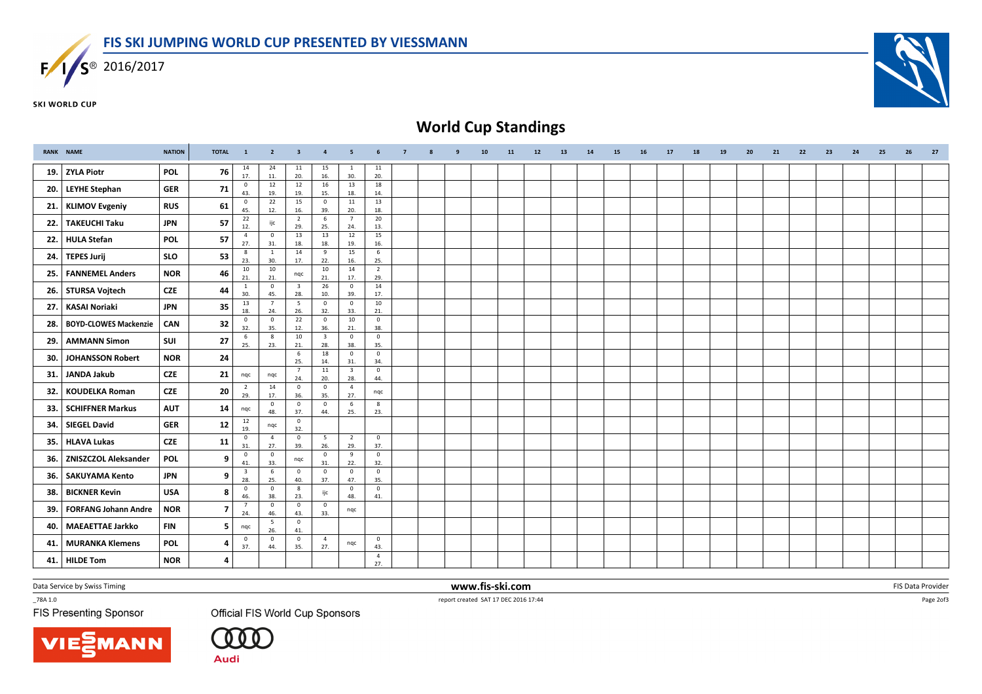

**SKI WORLD CUP** 



## World Cup Standings

|     | <b>RANK NAME</b>             | <b>NATION</b> | <b>TOTAL</b> | $\mathbf{1}$                    | $\overline{2}$        | - 3                   | 4                               | - 5                            | 6                     | $\overline{7}$ | 8 | 9 | 10 <sub>1</sub> | 11 | 12 | 13 | 14 | 15 | 16 | 17 | 18 | 19 | 20 | 21 | 22 | 23 | 24 | 25 | 26 | 27 |
|-----|------------------------------|---------------|--------------|---------------------------------|-----------------------|-----------------------|---------------------------------|--------------------------------|-----------------------|----------------|---|---|-----------------|----|----|----|----|----|----|----|----|----|----|----|----|----|----|----|----|----|
| 19. | <b>ZYLA Piotr</b>            | <b>POL</b>    | 76           | 14<br>17.                       | 24<br>11.             | 11<br>20.             | 15<br>16.                       | 1<br>30.                       | 11<br>20.             |                |   |   |                 |    |    |    |    |    |    |    |    |    |    |    |    |    |    |    |    |    |
| 20. | <b>LEYHE Stephan</b>         | <b>GER</b>    | 71           | $\mathbf 0$<br>43.              | 12<br>19.             | 12<br>19.             | 16<br>15.                       | 13<br>18.                      | 18<br>14.             |                |   |   |                 |    |    |    |    |    |    |    |    |    |    |    |    |    |    |    |    |    |
| 21. | <b>KLIMOV Evgeniy</b>        | <b>RUS</b>    | 61           | $\mathbf 0$<br>45.              | 22<br>12.             | 15<br>16.             | $\mathbf 0$<br>39.              | $11\,$<br>20.                  | 13<br>18.             |                |   |   |                 |    |    |    |    |    |    |    |    |    |    |    |    |    |    |    |    |    |
| 22. | <b>TAKEUCHI Taku</b>         | <b>JPN</b>    | 57           | 22<br>12.                       | ijc                   | $\overline{2}$<br>29. | 6<br>25.                        | $7\overline{ }$<br>24.         | 20<br>13.             |                |   |   |                 |    |    |    |    |    |    |    |    |    |    |    |    |    |    |    |    |    |
| 22. | <b>HULA Stefan</b>           | <b>POL</b>    | 57           | $\overline{4}$<br>27.           | $\mathbf 0$<br>31.    | 13<br>18.             | 13<br>18.                       | 12<br>19.                      | 15<br>16.             |                |   |   |                 |    |    |    |    |    |    |    |    |    |    |    |    |    |    |    |    |    |
| 24. | <b>TEPES Jurij</b>           | <b>SLO</b>    | 53           | $\boldsymbol{8}$<br>23.         | $\mathbf{1}$<br>30.   | 14<br>17.             | 9<br>22.                        | 15<br>16.                      | 6<br>25.              |                |   |   |                 |    |    |    |    |    |    |    |    |    |    |    |    |    |    |    |    |    |
| 25. | <b>FANNEMEL Anders</b>       | <b>NOR</b>    | 46           | 10<br>21.                       | 10<br>21.             | nqc                   | 10<br>21.                       | 14<br>17.                      | $\overline{2}$<br>29. |                |   |   |                 |    |    |    |    |    |    |    |    |    |    |    |    |    |    |    |    |    |
| 26. | <b>STURSA Vojtech</b>        | <b>CZE</b>    | 44           | $\mathbf{1}$<br>30.             | $\mathbf 0$<br>45.    | 3<br>28.              | 26<br>10.                       | $\overline{0}$<br>39.          | 14<br>17.             |                |   |   |                 |    |    |    |    |    |    |    |    |    |    |    |    |    |    |    |    |    |
| 27. | <b>KASAI Noriaki</b>         | <b>JPN</b>    | 35           | 13<br>18.                       | 24.                   | 5<br>26.              | $\mathbf 0$<br>32.              | $\mathbf 0$<br>33.             | 10<br>21.             |                |   |   |                 |    |    |    |    |    |    |    |    |    |    |    |    |    |    |    |    |    |
| 28. | <b>BOYD-CLOWES Mackenzie</b> | CAN           | 32           | $\overline{\mathbf{0}}$<br>32.  | $\mathbf 0$<br>35.    | 22<br>12.             | $\overline{0}$<br>36.           | 10<br>21.                      | $\overline{0}$<br>38. |                |   |   |                 |    |    |    |    |    |    |    |    |    |    |    |    |    |    |    |    |    |
| 29. | <b>AMMANN Simon</b>          | SUI           | 27           | 6<br>25.                        | 8<br>23.              | 10<br>21.             | $\overline{\mathbf{3}}$<br>28.  | $\mathbf 0$<br>38.             | $\mathbf 0$<br>35.    |                |   |   |                 |    |    |    |    |    |    |    |    |    |    |    |    |    |    |    |    |    |
| 30. | <b>JOHANSSON Robert</b>      | <b>NOR</b>    | 24           |                                 |                       | 6<br>25.              | 18<br>14.                       | $\mathbf 0$<br>31.             | $\overline{0}$<br>34. |                |   |   |                 |    |    |    |    |    |    |    |    |    |    |    |    |    |    |    |    |    |
| 31. | <b>JANDA Jakub</b>           | <b>CZE</b>    | 21           | nqc                             | nqc                   | $\overline{7}$<br>24. | $11\,$<br>20.                   | $\overline{\mathbf{3}}$<br>28. | $\mathbf 0$<br>44.    |                |   |   |                 |    |    |    |    |    |    |    |    |    |    |    |    |    |    |    |    |    |
| 32. | <b>KOUDELKA Roman</b>        | <b>CZE</b>    | 20           | $\overline{2}$<br>29.           | 14<br>17.             | $\mathsf 0$<br>36.    | $\mathbf 0$<br>35.              | $\overline{4}$<br>27.          | nqc                   |                |   |   |                 |    |    |    |    |    |    |    |    |    |    |    |    |    |    |    |    |    |
| 33. | <b>SCHIFFNER Markus</b>      | <b>AUT</b>    | 14           | nqc                             | $\mathbf 0$<br>48.    | $\mathbf 0$<br>37.    | $\mathbf 0$<br>44.              | 6<br>25.                       | 8<br>23.              |                |   |   |                 |    |    |    |    |    |    |    |    |    |    |    |    |    |    |    |    |    |
| 34. | <b>SIEGEL David</b>          | <b>GER</b>    | 12           | 12<br>19.                       | ngc                   | $\mathsf 0$<br>32.    |                                 |                                |                       |                |   |   |                 |    |    |    |    |    |    |    |    |    |    |    |    |    |    |    |    |    |
| 35. | <b>HLAVA Lukas</b>           | <b>CZE</b>    | 11           | $\mathbf 0$<br>31.              | $\overline{4}$<br>27. | $\mathbf 0$<br>39.    | $\overline{\phantom{0}}$<br>26. | $\overline{2}$<br>29.          | $\overline{0}$<br>37. |                |   |   |                 |    |    |    |    |    |    |    |    |    |    |    |    |    |    |    |    |    |
| 36. | <b>ZNISZCZOL Aleksander</b>  | <b>POL</b>    | 9            | $\mathbf 0$<br>41.              | $\mathbf 0$<br>33.    | nqc                   | $\mathbf 0$<br>31.              | 9<br>22.                       | $\overline{0}$<br>32. |                |   |   |                 |    |    |    |    |    |    |    |    |    |    |    |    |    |    |    |    |    |
| 36. | <b>SAKUYAMA Kento</b>        | <b>JPN</b>    | 9            | $\overline{\phantom{a}}$<br>28. | 6<br>25.              | $\mathbf 0$<br>40.    | $\mathbf 0$<br>37.              | $\mathbf 0$<br>47.             | $\overline{0}$<br>35. |                |   |   |                 |    |    |    |    |    |    |    |    |    |    |    |    |    |    |    |    |    |
| 38. | <b>BICKNER Kevin</b>         | <b>USA</b>    | 8            | $\overline{0}$<br>46.           | $\mathbf 0$<br>38.    | 8<br>23.              | ijc                             | $\mathbf 0$<br>48.             | $\mathbf 0$<br>41.    |                |   |   |                 |    |    |    |    |    |    |    |    |    |    |    |    |    |    |    |    |    |
| 39. | <b>FORFANG Johann Andre</b>  | <b>NOR</b>    | 7            | $\overline{7}$<br>24.           | $\mathbf 0$<br>46.    | $\mathbf 0$<br>43.    | $\overline{0}$<br>33.           | nqc                            |                       |                |   |   |                 |    |    |    |    |    |    |    |    |    |    |    |    |    |    |    |    |    |
| 40. | <b>MAEAETTAE Jarkko</b>      | <b>FIN</b>    | 5            | nqc                             | 5<br>26.              | $\overline{0}$<br>41. |                                 |                                |                       |                |   |   |                 |    |    |    |    |    |    |    |    |    |    |    |    |    |    |    |    |    |
| 41. | <b>MURANKA Klemens</b>       | POL           | 4            | $\overline{0}$<br>37.           | $\mathbf 0$<br>44.    | $\mathbf 0$<br>35.    | $\overline{4}$<br>27.           | nqc                            | $\overline{0}$<br>43. |                |   |   |                 |    |    |    |    |    |    |    |    |    |    |    |    |    |    |    |    |    |
| 41. | <b>HILDE Tom</b>             | <b>NOR</b>    | 4            |                                 |                       |                       |                                 |                                | $\overline{4}$<br>27. |                |   |   |                 |    |    |    |    |    |    |    |    |    |    |    |    |    |    |    |    |    |

Data Service by Swiss Timing

 $-78A 1.0$ 

**FIS Presenting Sponsor** 

**Official FIS World Cup Sponsors** 





 www.fis-ski.comreport created SAT 17 DEC 2016 17:44

m FIS Data Provider<br>Called the Called State of the Called State of the Called State of the Called State of the Called State of the<br>Called State of the Called State of the Called State of the Called State of the Called Stat

Page 2of3